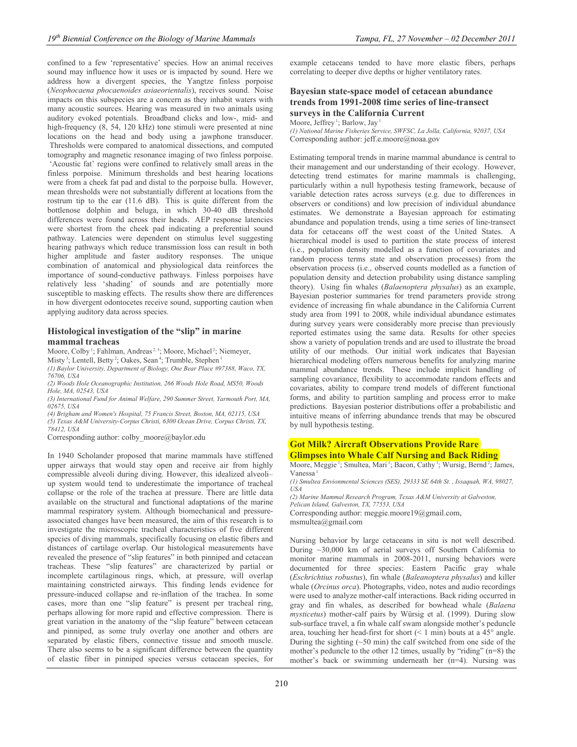confined to a few 'representative' species. How an animal receives sound may influence how it uses or is impacted by sound. Here we address how a divergent species, the Yangtze finless porpoise (*Neophocaena phocaenoides asiaeorientalis*), receives sound. Noise impacts on this subspecies are a concern as they inhabit waters with many acoustic sources. Hearing was measured in two animals using auditory evoked potentials. Broadband clicks and low-, mid- and high-frequency (8, 54, 120 kHz) tone stimuli were presented at nine locations on the head and body using a jawphone transducer. Thresholds were compared to anatomical dissections, and computed tomography and magnetic resonance imaging of two finless porpoise. 'Acoustic fat' regions were confined to relatively small areas in the finless porpoise. Minimum thresholds and best hearing locations were from a cheek fat pad and distal to the porpoise bulla. However, mean thresholds were not substantially different at locations from the rostrum tip to the ear (11.6 dB). This is quite different from the bottlenose dolphin and beluga, in which 30-40 dB threshold differences were found across their heads. AEP response latencies were shortest from the cheek pad indicating a preferential sound pathway. Latencies were dependent on stimulus level suggesting hearing pathways which reduce transmission loss can result in both higher amplitude and faster auditory responses. The unique combination of anatomical and physiological data reinforces the importance of sound-conductive pathways. Finless porpoises have relatively less 'shading' of sounds and are potentially more susceptible to masking effects. The results show there are differences in how divergent odontocetes receive sound, supporting caution when applying auditory data across species.

## **Histological investigation of the "slip" in marine mammal tracheas**

Moore, Colby<sup>1</sup>; Fahlman, Andreas<sup>2,5</sup>; Moore, Michael<sup>2</sup>; Niemeyer, Misty<sup>3</sup>; Lentell, Betty<sup>2</sup>; Oakes, Sean<sup>4</sup>; Trumble, Stephen<sup>1</sup>

*(1) Baylor University, Department of Biology, One Bear Place #97388, Waco, TX, 76706, USA* 

*(2) Woods Hole Oceanographic Institution, 266 Woods Hole Road, MS50, Woods Hole, MA, 02543, USA* 

*(3) International Fund for Animal Welfare, 290 Summer Street, Yarmouth Port, MA, 02675, USA* 

*(4) Brigham and Women's Hospital, 75 Francis Street, Boston, MA, 02115, USA (5) Texas A&M University-Corpus Christi, 6300 Ocean Drive, Corpus Christi, TX, 78412, USA* 

Corresponding author: colby\_moore@baylor.edu

In 1940 Scholander proposed that marine mammals have stiffened upper airways that would stay open and receive air from highly compressible alveoli during diving. However, this idealized alveoli– up system would tend to underestimate the importance of tracheal collapse or the role of the trachea at pressure. There are little data available on the structural and functional adaptations of the marine mammal respiratory system. Although biomechanical and pressureassociated changes have been measured, the aim of this research is to investigate the microscopic tracheal characteristics of five different species of diving mammals, specifically focusing on elastic fibers and distances of cartilage overlap. Our histological measurements have revealed the presence of "slip features" in both pinniped and cetacean tracheas. These "slip features" are characterized by partial or incomplete cartilaginous rings, which, at pressure, will overlap maintaining constricted airways. This finding lends evidence for pressure-induced collapse and re-inflation of the trachea. In some cases, more than one "slip feature" is present per tracheal ring, perhaps allowing for more rapid and effective compression. There is great variation in the anatomy of the "slip feature" between cetacean and pinniped, as some truly overlay one another and others are separated by elastic fibers, connective tissue and smooth muscle. There also seems to be a significant difference between the quantity of elastic fiber in pinniped species versus cetacean species, for

example cetaceans tended to have more elastic fibers, perhaps correlating to deeper dive depths or higher ventilatory rates.

# **Bayesian state-space model of cetacean abundance trends from 1991-2008 time series of line-transect surveys in the California Current**

Moore, Jeffrey<sup>1</sup>; Barlow, Jay<sup>1</sup>

*(1) National Marine Fisheries Service, SWFSC, La Jolla, California, 92037, USA*  Corresponding author: jeff.e.moore@noaa.gov

Estimating temporal trends in marine mammal abundance is central to their management and our understanding of their ecology. However, detecting trend estimates for marine mammals is challenging, particularly within a null hypothesis testing framework, because of variable detection rates across surveys (e.g. due to differences in observers or conditions) and low precision of individual abundance estimates. We demonstrate a Bayesian approach for estimating abundance and population trends, using a time series of line-transect data for cetaceans off the west coast of the United States. A hierarchical model is used to partition the state process of interest (i.e., population density modelled as a function of covariates and random process terms state and observation processes) from the observation process (i.e., observed counts modelled as a function of population density and detection probability using distance sampling theory). Using fin whales (*Balaenoptera physalus*) as an example, Bayesian posterior summaries for trend parameters provide strong evidence of increasing fin whale abundance in the California Current study area from 1991 to 2008, while individual abundance estimates during survey years were considerably more precise than previously reported estimates using the same data. Results for other species show a variety of population trends and are used to illustrate the broad utility of our methods. Our initial work indicates that Bayesian hierarchical modeling offers numerous benefits for analyzing marine mammal abundance trends. These include implicit handling of sampling covariance, flexibility to accommodate random effects and covariates, ability to compare trend models of different functional forms, and ability to partition sampling and process error to make predictions. Bayesian posterior distributions offer a probabilistic and intuitive means of inferring abundance trends that may be obscured by null hypothesis testing.

## **Got Milk? Aircraft Observations Provide Rare Glimpses into Whale Calf Nursing and Back Riding**

Moore, Meggie<sup>1</sup>; Smultea, Mari<sup>1</sup>; Bacon, Cathy<sup>1</sup>; Wursig, Bernd<sup>2</sup>; James, Vanessa<sup>1</sup>

*(1) Smultea Envionmental Sciences (SES), 29333 SE 64th St. , Issaquah, WA, 98027, USA* 

*(2) Marine Mammal Research Program, Texas A&M University at Galveston, Pelican Island, Galveston, TX, 77553, USA* 

Corresponding author: meggie.moore19@gmail.com, msmultea@gmail.com

Nursing behavior by large cetaceans in situ is not well described. During ~30,000 km of aerial surveys off Southern California to monitor marine mammals in 2008-2011, nursing behaviors were documented for three species: Eastern Pacific gray whale (*Eschrichtius robustus*), fin whale (*Baleanoptera physalus*) and killer whale (*Orcinus orca*). Photographs, video, notes and audio recordings were used to analyze mother-calf interactions. Back riding occurred in gray and fin whales, as described for bowhead whale (*Balaena mysticetus*) mother-calf pairs by Würsig et al. (1999). During slow sub-surface travel, a fin whale calf swam alongside mother's peduncle area, touching her head-first for short  $(< 1$  min) bouts at a 45 $^{\circ}$  angle. During the sighting  $(-50 \text{ min})$  the calf switched from one side of the mother's peduncle to the other 12 times, usually by "riding" (n=8) the mother's back or swimming underneath her (n=4). Nursing was